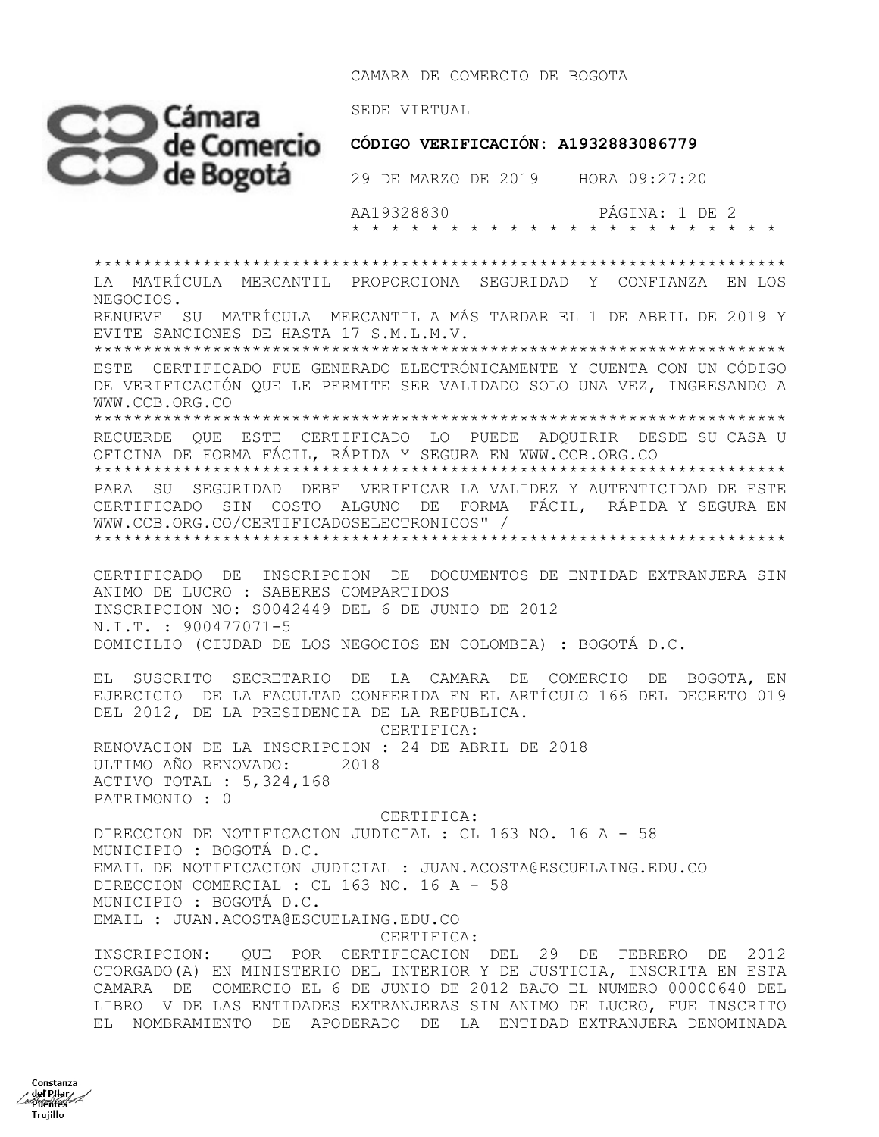CAMARA DE COMERCIO DE BOGOTA



Constanza del Pilar<br>del Pilar Henry Keep Trujillo

 AA19328830 PÁGINA: 1 DE 2 \* \* \* \* \* \* \* \* \* \* \* \* \* \* \* \* \* \* \* \* \* \*

\*\*\*\*\*\*\*\*\*\*\*\*\*\*\*\*\*\*\*\*\*\*\*\*\*\*\*\*\*\*\*\*\*\*\*\*\*\*\*\*\*\*\*\*\*\*\*\*\*\*\*\*\*\*\*\*\*\*\*\*\*\*\*\*\*\*\*\*\*\* LA MATRÍCULA MERCANTIL PROPORCIONA SEGURIDAD Y CONFIANZA EN LOS NEGOCIOS. RENUEVE SU MATRÍCULA MERCANTIL A MÁS TARDAR EL 1 DE ABRIL DE 2019 Y EVITE SANCIONES DE HASTA 17 S.M.L.M.V. \*\*\*\*\*\*\*\*\*\*\*\*\*\*\*\*\*\*\*\*\*\*\*\*\*\*\*\*\*\*\*\*\*\*\*\*\*\*\*\*\*\*\*\*\*\*\*\*\*\*\*\*\*\*\*\*\*\*\*\*\*\*\*\*\*\*\*\*\*\* ESTE CERTIFICADO FUE GENERADO ELECTRÓNICAMENTE Y CUENTA CON UN CÓDIGO DE VERIFICACIÓN QUE LE PERMITE SER VALIDADO SOLO UNA VEZ, INGRESANDO A WWW.CCB.ORG.CO \*\*\*\*\*\*\*\*\*\*\*\*\*\*\*\*\*\*\*\*\*\*\*\*\*\*\*\*\*\*\*\*\*\*\*\*\*\*\*\*\*\*\*\*\*\*\*\*\*\*\*\*\*\*\*\*\*\*\*\*\*\*\*\*\*\*\*\*\*\* RECUERDE QUE ESTE CERTIFICADO LO PUEDE ADQUIRIR DESDE SU CASA U OFICINA DE FORMA FÁCIL, RÁPIDA Y SEGURA EN WWW.CCB.ORG.CO \*\*\*\*\*\*\*\*\*\*\*\*\*\*\*\*\*\*\*\*\*\*\*\*\*\*\*\*\*\*\*\*\*\*\*\*\*\*\*\*\*\*\*\*\*\*\*\*\*\*\*\*\*\*\*\*\*\*\*\*\*\*\*\*\*\*\*\*\*\* PARA SU SEGURIDAD DEBE VERIFICAR LA VALIDEZ Y AUTENTICIDAD DE ESTE CERTIFICADO SIN COSTO ALGUNO DE FORMA FÁCIL, RÁPIDA Y SEGURA EN WWW.CCB.ORG.CO/CERTIFICADOSELECTRONICOS" / \*\*\*\*\*\*\*\*\*\*\*\*\*\*\*\*\*\*\*\*\*\*\*\*\*\*\*\*\*\*\*\*\*\*\*\*\*\*\*\*\*\*\*\*\*\*\*\*\*\*\*\*\*\*\*\*\*\*\*\*\*\*\*\*\*\*\*\*\*\* CERTIFICADO DE INSCRIPCION DE DOCUMENTOS DE ENTIDAD EXTRANJERA SIN ANIMO DE LUCRO : SABERES COMPARTIDOS INSCRIPCION NO: S0042449 DEL 6 DE JUNIO DE 2012 N.I.T. : 900477071-5 DOMICILIO (CIUDAD DE LOS NEGOCIOS EN COLOMBIA) : BOGOTÁ D.C. EL SUSCRITO SECRETARIO DE LA CAMARA DE COMERCIO DE BOGOTA, EN EJERCICIO DE LA FACULTAD CONFERIDA EN EL ARTÍCULO 166 DEL DECRETO 019 DEL 2012, DE LA PRESIDENCIA DE LA REPUBLICA. CERTIFICA: RENOVACION DE LA INSCRIPCION : 24 DE ABRIL DE 2018 ULTIMO AÑO RENOVADO: 2018 ACTIVO TOTAL : 5,324,168 PATRIMONIO : 0 CERTIFICA:

DIRECCION DE NOTIFICACION JUDICIAL : CL 163 NO. 16 A - 58 MUNICIPIO : BOGOTÁ D.C. EMAIL DE NOTIFICACION JUDICIAL : JUAN.ACOSTA@ESCUELAING.EDU.CO DIRECCION COMERCIAL : CL 163 NO. 16 A - 58 MUNICIPIO : BOGOTÁ D.C. EMAIL : JUAN.ACOSTA@ESCUELAING.EDU.CO CERTIFICA:

INSCRIPCION: QUE POR CERTIFICACION DEL 29 DE FEBRERO DE 2012 OTORGADO(A) EN MINISTERIO DEL INTERIOR Y DE JUSTICIA, INSCRITA EN ESTA CAMARA DE COMERCIO EL 6 DE JUNIO DE 2012 BAJO EL NUMERO 00000640 DEL LIBRO V DE LAS ENTIDADES EXTRANJERAS SIN ANIMO DE LUCRO, FUE INSCRITO EL NOMBRAMIENTO DE APODERADO DE LA ENTIDAD EXTRANJERA DENOMINADA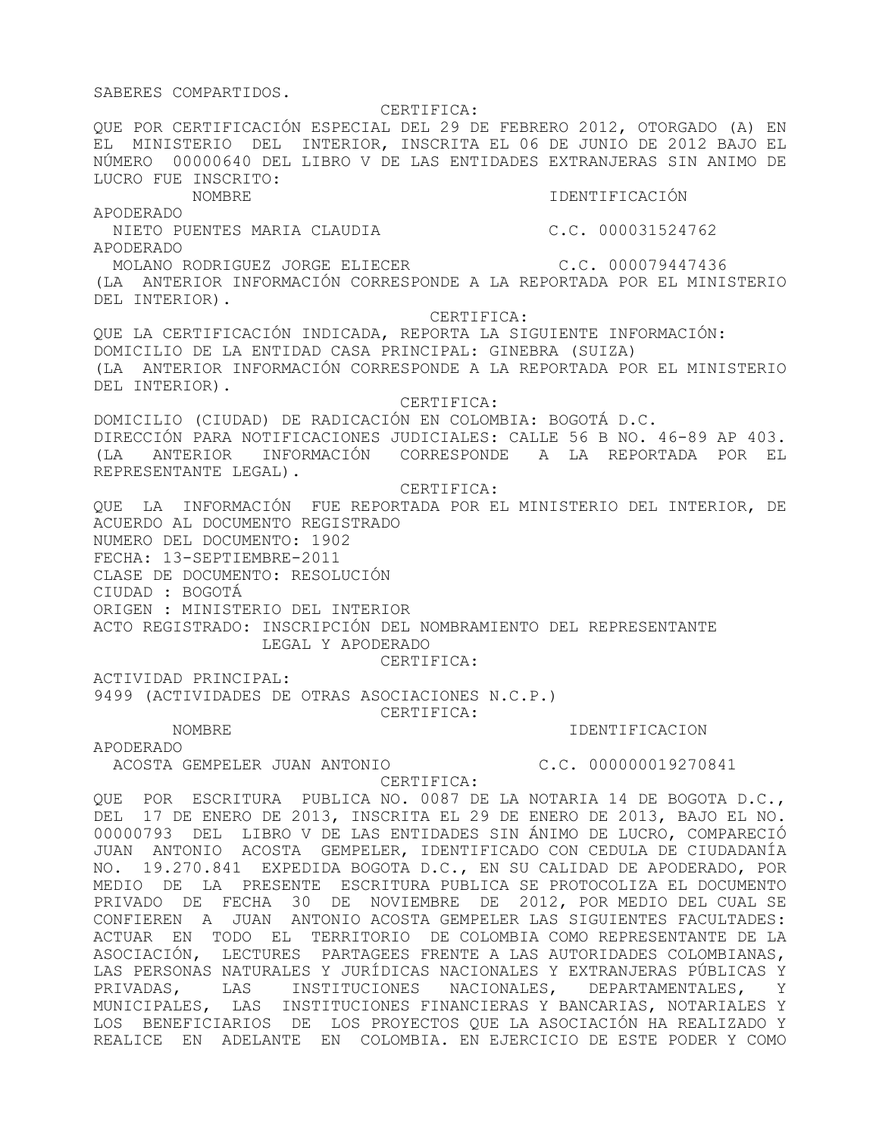CERTIFICA:

QUE POR CERTIFICACIÓN ESPECIAL DEL 29 DE FEBRERO 2012, OTORGADO (A) EN EL MINISTERIO DEL INTERIOR, INSCRITA EL 06 DE JUNIO DE 2012 BAJO EL NÚMERO 00000640 DEL LIBRO V DE LAS ENTIDADES EXTRANJERAS SIN ANIMO DE LUCRO FUE INSCRITO: NOMBRE IDENTIFICACIÓN APODERADO NIETO PUENTES MARIA CLAUDIA C.C. 000031524762 APODERADO MOLANO RODRIGUEZ JORGE ELIECER C.C. 000079447436 (LA ANTERIOR INFORMACIÓN CORRESPONDE A LA REPORTADA POR EL MINISTERIO DEL INTERIOR). CERTIFICA: QUE LA CERTIFICACIÓN INDICADA, REPORTA LA SIGUIENTE INFORMACIÓN: DOMICILIO DE LA ENTIDAD CASA PRINCIPAL: GINEBRA (SUIZA) (LA ANTERIOR INFORMACIÓN CORRESPONDE A LA REPORTADA POR EL MINISTERIO DEL INTERIOR). CERTIFICA: DOMICILIO (CIUDAD) DE RADICACIÓN EN COLOMBIA: BOGOTÁ D.C. DIRECCIÓN PARA NOTIFICACIONES JUDICIALES: CALLE 56 B NO. 46-89 AP 403. (LA ANTERIOR INFORMACIÓN CORRESPONDE A LA REPORTADA POR EL REPRESENTANTE LEGAL). CERTIFICA: QUE LA INFORMACIÓN FUE REPORTADA POR EL MINISTERIO DEL INTERIOR, DE ACUERDO AL DOCUMENTO REGISTRADO NUMERO DEL DOCUMENTO: 1902 FECHA: 13-SEPTIEMBRE-2011 CLASE DE DOCUMENTO: RESOLUCIÓN CIUDAD : BOGOTÁ ORIGEN : MINISTERIO DEL INTERIOR ACTO REGISTRADO: INSCRIPCIÓN DEL NOMBRAMIENTO DEL REPRESENTANTE LEGAL Y APODERADO CERTIFICA: ACTIVIDAD PRINCIPAL: 9499 (ACTIVIDADES DE OTRAS ASOCIACIONES N.C.P.) CERTIFICA: NOMBRE IDENTIFICACION APODERADO ACOSTA GEMPELER JUAN ANTONIO C.C. 000000019270841 CERTIFICA: QUE POR ESCRITURA PUBLICA NO. 0087 DE LA NOTARIA 14 DE BOGOTA D.C., DEL 17 DE ENERO DE 2013, INSCRITA EL 29 DE ENERO DE 2013, BAJO EL NO. 00000793 DEL LIBRO V DE LAS ENTIDADES SIN ÁNIMO DE LUCRO, COMPARECIÓ JUAN ANTONIO ACOSTA GEMPELER, IDENTIFICADO CON CEDULA DE CIUDADANÍA NO. 19.270.841 EXPEDIDA BOGOTA D.C., EN SU CALIDAD DE APODERADO, POR MEDIO DE LA PRESENTE ESCRITURA PUBLICA SE PROTOCOLIZA EL DOCUMENTO PRIVADO DE FECHA 30 DE NOVIEMBRE DE 2012, POR MEDIO DEL CUAL SE CONFIEREN A JUAN ANTONIO ACOSTA GEMPELER LAS SIGUIENTES FACULTADES: ACTUAR EN TODO EL TERRITORIO DE COLOMBIA COMO REPRESENTANTE DE LA ASOCIACIÓN, LECTURES PARTAGEES FRENTE A LAS AUTORIDADES COLOMBIANAS, LAS PERSONAS NATURALES Y JURÍDICAS NACIONALES Y EXTRANJERAS PÚBLICAS Y PRIVADAS, LAS INSTITUCIONES NACIONALES, DEPARTAMENTALES, Y MUNICIPALES, LAS INSTITUCIONES FINANCIERAS Y BANCARIAS, NOTARIALES Y LOS BENEFICIARIOS DE LOS PROYECTOS QUE LA ASOCIACIÓN HA REALIZADO Y

REALICE EN ADELANTE EN COLOMBIA. EN EJERCICIO DE ESTE PODER Y COMO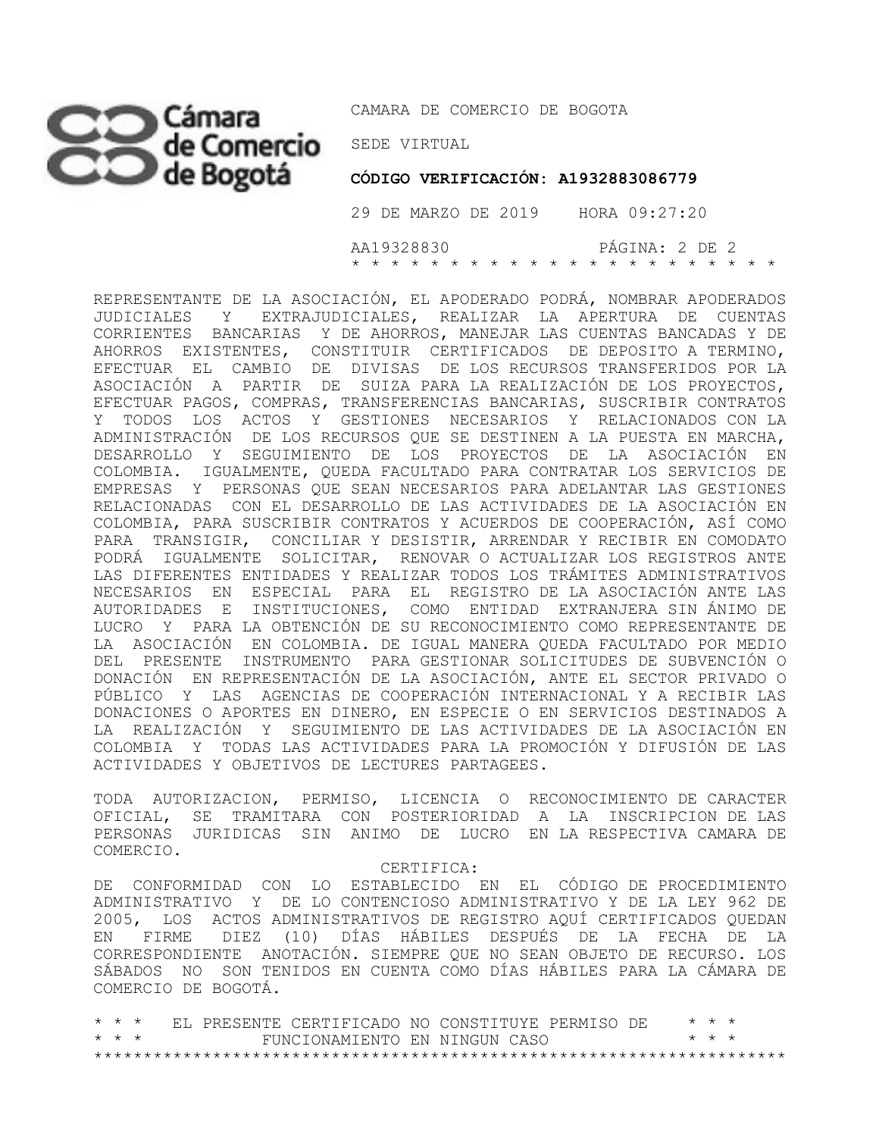## CO Cámara CAMARA DE COI

CAMARA DE COMERCIO DE BOGOTA

 **CÓDIGO VERIFICACIÓN: A1932883086779**

 29 DE MARZO DE 2019 HORA 09:27:20 AA19328830 PÁGINA: 2 DE 2 \* \* \* \* \* \* \* \* \* \* \* \* \* \* \* \* \* \* \* \* \* \*

REPRESENTANTE DE LA ASOCIACIÓN, EL APODERADO PODRÁ, NOMBRAR APODERADOS JUDICIALES Y EXTRAJUDICIALES, REALIZAR LA APERTURA DE CUENTAS CORRIENTES BANCARIAS Y DE AHORROS, MANEJAR LAS CUENTAS BANCADAS Y DE AHORROS EXISTENTES, CONSTITUIR CERTIFICADOS DE DEPOSITO A TERMINO, EFECTUAR EL CAMBIO DE DIVISAS DE LOS RECURSOS TRANSFERIDOS POR LA ASOCIACIÓN A PARTIR DE SUIZA PARA LA REALIZACIÓN DE LOS PROYECTOS, EFECTUAR PAGOS, COMPRAS, TRANSFERENCIAS BANCARIAS, SUSCRIBIR CONTRATOS Y TODOS LOS ACTOS Y GESTIONES NECESARIOS Y RELACIONADOS CON LA ADMINISTRACIÓN DE LOS RECURSOS QUE SE DESTINEN A LA PUESTA EN MARCHA, DESARROLLO Y SEGUIMIENTO DE LOS PROYECTOS DE LA ASOCIACIÓN EN COLOMBIA. IGUALMENTE, QUEDA FACULTADO PARA CONTRATAR LOS SERVICIOS DE EMPRESAS Y PERSONAS QUE SEAN NECESARIOS PARA ADELANTAR LAS GESTIONES RELACIONADAS CON EL DESARROLLO DE LAS ACTIVIDADES DE LA ASOCIACIÓN EN COLOMBIA, PARA SUSCRIBIR CONTRATOS Y ACUERDOS DE COOPERACIÓN, ASÍ COMO PARA TRANSIGIR, CONCILIAR Y DESISTIR, ARRENDAR Y RECIBIR EN COMODATO PODRÁ IGUALMENTE SOLICITAR, RENOVAR O ACTUALIZAR LOS REGISTROS ANTE LAS DIFERENTES ENTIDADES Y REALIZAR TODOS LOS TRÁMITES ADMINISTRATIVOS NECESARIOS EN ESPECIAL PARA EL REGISTRO DE LA ASOCIACIÓN ANTE LAS AUTORIDADES E INSTITUCIONES, COMO ENTIDAD EXTRANJERA SIN ÁNIMO DE LUCRO Y PARA LA OBTENCIÓN DE SU RECONOCIMIENTO COMO REPRESENTANTE DE LA ASOCIACIÓN EN COLOMBIA. DE IGUAL MANERA QUEDA FACULTADO POR MEDIO DEL PRESENTE INSTRUMENTO PARA GESTIONAR SOLICITUDES DE SUBVENCIÓN O DONACIÓN EN REPRESENTACIÓN DE LA ASOCIACIÓN, ANTE EL SECTOR PRIVADO O PÚBLICO Y LAS AGENCIAS DE COOPERACIÓN INTERNACIONAL Y A RECIBIR LAS DONACIONES O APORTES EN DINERO, EN ESPECIE O EN SERVICIOS DESTINADOS A LA REALIZACIÓN Y SEGUIMIENTO DE LAS ACTIVIDADES DE LA ASOCIACIÓN EN COLOMBIA Y TODAS LAS ACTIVIDADES PARA LA PROMOCIÓN Y DIFUSIÓN DE LAS ACTIVIDADES Y OBJETIVOS DE LECTURES PARTAGEES.

TODA AUTORIZACION, PERMISO, LICENCIA O RECONOCIMIENTO DE CARACTER OFICIAL, SE TRAMITARA CON POSTERIORIDAD A LA INSCRIPCION DE LAS PERSONAS JURIDICAS SIN ANIMO DE LUCRO EN LA RESPECTIVA CAMARA DE COMERCIO.

CERTIFICA:

DE CONFORMIDAD CON LO ESTABLECIDO EN EL CÓDIGO DE PROCEDIMIENTO ADMINISTRATIVO Y DE LO CONTENCIOSO ADMINISTRATIVO Y DE LA LEY 962 DE 2005, LOS ACTOS ADMINISTRATIVOS DE REGISTRO AQUÍ CERTIFICADOS QUEDAN EN FIRME DIEZ (10) DÍAS HÁBILES DESPUÉS DE LA FECHA DE LA CORRESPONDIENTE ANOTACIÓN. SIEMPRE QUE NO SEAN OBJETO DE RECURSO. LOS SÁBADOS NO SON TENIDOS EN CUENTA COMO DÍAS HÁBILES PARA LA CÁMARA DE COMERCIO DE BOGOTÁ.

|  |                         | * * * |  |  | EL PRESENTE CERTIFICADO NO CONSTITUYE PERMISO DE |  |  |  |  | * * * |  |  |
|--|-------------------------|-------|--|--|--------------------------------------------------|--|--|--|--|-------|--|--|
|  | $\star$ $\star$ $\star$ |       |  |  | FUNCIONAMIENTO EN NINGUN CASO                    |  |  |  |  | * * * |  |  |
|  |                         |       |  |  |                                                  |  |  |  |  |       |  |  |